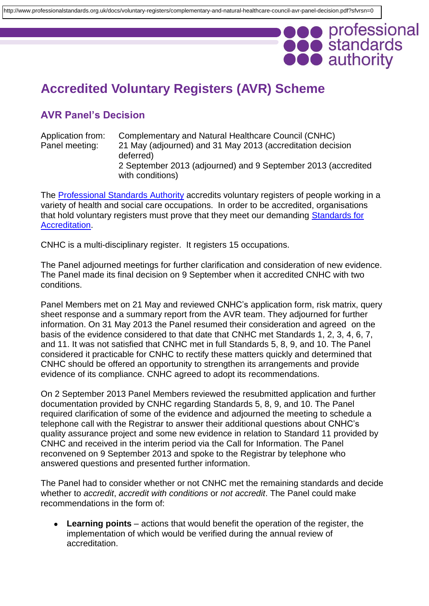# **O** professional **DOO** standards

## **Accredited Voluntary Registers (AVR) Scheme**

## **AVR Panel's Decision**

Application from: Complementary and Natural Healthcare Council (CNHC) Panel meeting: 21 May (adjourned) and 31 May 2013 (accreditation decision deferred) 2 September 2013 (adjourned) and 9 September 2013 (accredited with conditions)

The [Professional Standards Authority](http://www.professionalstandards.org.uk/voluntary-registers) accredits voluntary registers of people working in a variety of health and social care occupations. In order to be accredited, organisations that hold voluntary registers must prove that they meet our demanding [Standards for](http://www.professionalstandards.org.uk/library/document-detail?id=fb70dc37-7acd-4e48-bbdd-fc1b909662f0)  [Accreditation.](http://www.professionalstandards.org.uk/library/document-detail?id=fb70dc37-7acd-4e48-bbdd-fc1b909662f0)

CNHC is a multi-disciplinary register. It registers 15 occupations.

The Panel adjourned meetings for further clarification and consideration of new evidence. The Panel made its final decision on 9 September when it accredited CNHC with two conditions.

Panel Members met on 21 May and reviewed CNHC's application form, risk matrix, query sheet response and a summary report from the AVR team. They adjourned for further information. On 31 May 2013 the Panel resumed their consideration and agreed on the basis of the evidence considered to that date that CNHC met Standards 1, 2, 3, 4, 6, 7, and 11. It was not satisfied that CNHC met in full Standards 5, 8, 9, and 10. The Panel considered it practicable for CNHC to rectify these matters quickly and determined that CNHC should be offered an opportunity to strengthen its arrangements and provide evidence of its compliance. CNHC agreed to adopt its recommendations.

On 2 September 2013 Panel Members reviewed the resubmitted application and further documentation provided by CNHC regarding Standards 5, 8, 9, and 10. The Panel required clarification of some of the evidence and adjourned the meeting to schedule a telephone call with the Registrar to answer their additional questions about CNHC's quality assurance project and some new evidence in relation to Standard 11 provided by CNHC and received in the interim period via the Call for Information. The Panel reconvened on 9 September 2013 and spoke to the Registrar by telephone who answered questions and presented further information.

The Panel had to consider whether or not CNHC met the remaining standards and decide whether to *accredit*, *accredit with conditions* or *not accredit*. The Panel could make recommendations in the form of:

**Learning points** – actions that would benefit the operation of the register, the  $\bullet$ implementation of which would be verified during the annual review of accreditation.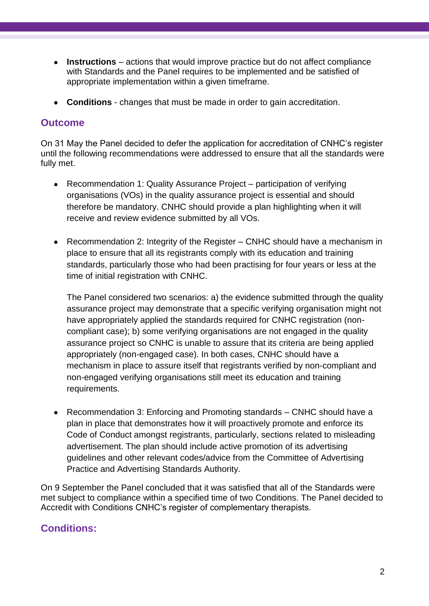- **Instructions** actions that would improve practice but do not affect compliance  $\bullet$ with Standards and the Panel requires to be implemented and be satisfied of appropriate implementation within a given timeframe.
- **Conditions** changes that must be made in order to gain accreditation.

### **Outcome**

On 31 May the Panel decided to defer the application for accreditation of CNHC's register until the following recommendations were addressed to ensure that all the standards were fully met.

- $\bullet$ Recommendation 1: Quality Assurance Project – participation of verifying organisations (VOs) in the quality assurance project is essential and should therefore be mandatory. CNHC should provide a plan highlighting when it will receive and review evidence submitted by all VOs.
- Recommendation 2: Integrity of the Register CNHC should have a mechanism in  $\bullet$ place to ensure that all its registrants comply with its education and training standards, particularly those who had been practising for four years or less at the time of initial registration with CNHC.

The Panel considered two scenarios: a) the evidence submitted through the quality assurance project may demonstrate that a specific verifying organisation might not have appropriately applied the standards required for CNHC registration (noncompliant case); b) some verifying organisations are not engaged in the quality assurance project so CNHC is unable to assure that its criteria are being applied appropriately (non-engaged case). In both cases, CNHC should have a mechanism in place to assure itself that registrants verified by non-compliant and non-engaged verifying organisations still meet its education and training requirements.

• Recommendation 3: Enforcing and Promoting standards – CNHC should have a plan in place that demonstrates how it will proactively promote and enforce its Code of Conduct amongst registrants, particularly, sections related to misleading advertisement. The plan should include active promotion of its advertising guidelines and other relevant codes/advice from the Committee of Advertising Practice and Advertising Standards Authority.

On 9 September the Panel concluded that it was satisfied that all of the Standards were met subject to compliance within a specified time of two Conditions. The Panel decided to Accredit with Conditions CNHC's register of complementary therapists.

## **Conditions:**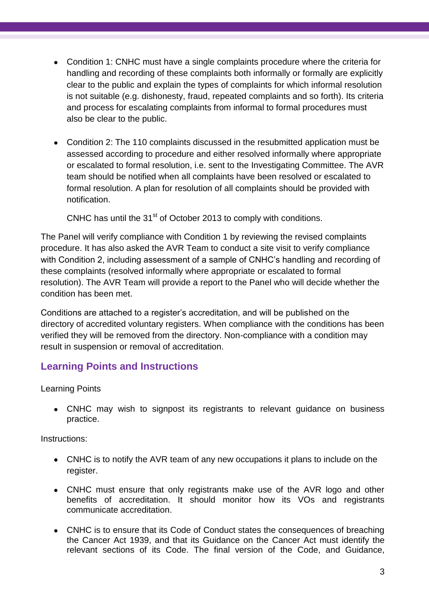- Condition 1: CNHC must have a single complaints procedure where the criteria for  $\bullet$ handling and recording of these complaints both informally or formally are explicitly clear to the public and explain the types of complaints for which informal resolution is not suitable (e.g. dishonesty, fraud, repeated complaints and so forth). Its criteria and process for escalating complaints from informal to formal procedures must also be clear to the public.
- Condition 2: The 110 complaints discussed in the resubmitted application must be assessed according to procedure and either resolved informally where appropriate or escalated to formal resolution, i.e. sent to the Investigating Committee. The AVR team should be notified when all complaints have been resolved or escalated to formal resolution. A plan for resolution of all complaints should be provided with notification.

CNHC has until the 31<sup>st</sup> of October 2013 to comply with conditions.

The Panel will verify compliance with Condition 1 by reviewing the revised complaints procedure. It has also asked the AVR Team to conduct a site visit to verify compliance with Condition 2, including assessment of a sample of CNHC's handling and recording of these complaints (resolved informally where appropriate or escalated to formal resolution). The AVR Team will provide a report to the Panel who will decide whether the condition has been met.

Conditions are attached to a register's accreditation, and will be published on the directory of accredited voluntary registers. When compliance with the conditions has been verified they will be removed from the directory. Non-compliance with a condition may result in suspension or removal of accreditation.

## **Learning Points and Instructions**

Learning Points

CNHC may wish to signpost its registrants to relevant guidance on business practice.

Instructions:

- CNHC is to notify the AVR team of any new occupations it plans to include on the register.
- CNHC must ensure that only registrants make use of the AVR logo and other benefits of accreditation. It should monitor how its VOs and registrants communicate accreditation.
- CNHC is to ensure that its Code of Conduct states the consequences of breaching the Cancer Act 1939, and that its Guidance on the Cancer Act must identify the relevant sections of its Code. The final version of the Code, and Guidance,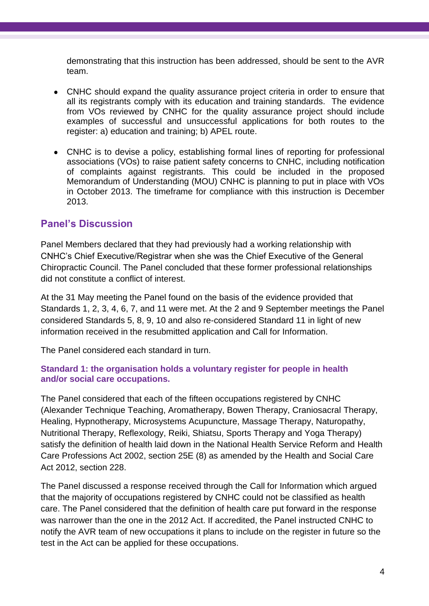demonstrating that this instruction has been addressed, should be sent to the AVR team.

- CNHC should expand the quality assurance project criteria in order to ensure that  $\bullet$ all its registrants comply with its education and training standards. The evidence from VOs reviewed by CNHC for the quality assurance project should include examples of successful and unsuccessful applications for both routes to the register: a) education and training; b) APEL route.
- CNHC is to devise a policy, establishing formal lines of reporting for professional associations (VOs) to raise patient safety concerns to CNHC, including notification of complaints against registrants. This could be included in the proposed Memorandum of Understanding (MOU) CNHC is planning to put in place with VOs in October 2013. The timeframe for compliance with this instruction is December 2013.

#### **Panel's Discussion**

Panel Members declared that they had previously had a working relationship with CNHC's Chief Executive/Registrar when she was the Chief Executive of the General Chiropractic Council. The Panel concluded that these former professional relationships did not constitute a conflict of interest.

At the 31 May meeting the Panel found on the basis of the evidence provided that Standards 1, 2, 3, 4, 6, 7, and 11 were met. At the 2 and 9 September meetings the Panel considered Standards 5, 8, 9, 10 and also re-considered Standard 11 in light of new information received in the resubmitted application and Call for Information.

The Panel considered each standard in turn.

#### **Standard 1: the organisation holds a voluntary register for people in health and/or social care occupations.**

The Panel considered that each of the fifteen occupations registered by CNHC (Alexander Technique Teaching, Aromatherapy, Bowen Therapy, Craniosacral Therapy, Healing, Hypnotherapy, Microsystems Acupuncture, Massage Therapy, Naturopathy, Nutritional Therapy, Reflexology, Reiki, Shiatsu, Sports Therapy and Yoga Therapy) satisfy the definition of health laid down in the National Health Service Reform and Health Care Professions Act 2002, section 25E (8) as amended by the Health and Social Care Act 2012, section 228.

The Panel discussed a response received through the Call for Information which argued that the majority of occupations registered by CNHC could not be classified as health care. The Panel considered that the definition of health care put forward in the response was narrower than the one in the 2012 Act. If accredited, the Panel instructed CNHC to notify the AVR team of new occupations it plans to include on the register in future so the test in the Act can be applied for these occupations.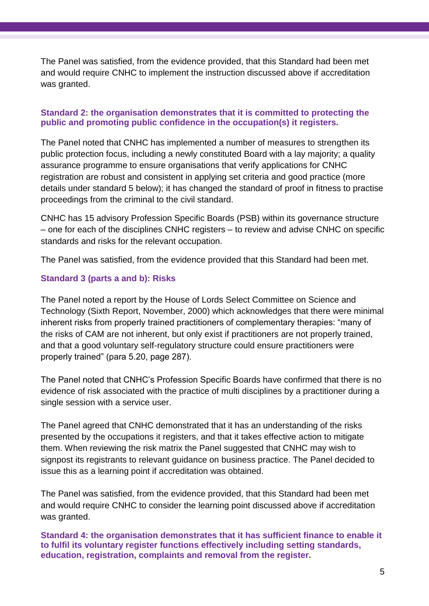The Panel was satisfied, from the evidence provided, that this Standard had been met and would require CNHC to implement the instruction discussed above if accreditation was granted.

#### **Standard 2: the organisation demonstrates that it is committed to protecting the public and promoting public confidence in the occupation(s) it registers.**

The Panel noted that CNHC has implemented a number of measures to strengthen its public protection focus, including a newly constituted Board with a lay majority; a quality assurance programme to ensure organisations that verify applications for CNHC registration are robust and consistent in applying set criteria and good practice (more details under standard 5 below); it has changed the standard of proof in fitness to practise proceedings from the criminal to the civil standard.

CNHC has 15 advisory Profession Specific Boards (PSB) within its governance structure – one for each of the disciplines CNHC registers – to review and advise CNHC on specific standards and risks for the relevant occupation.

The Panel was satisfied, from the evidence provided that this Standard had been met.

#### **Standard 3 (parts a and b): Risks**

The Panel noted a report by the House of Lords Select Committee on Science and Technology (Sixth Report, November, 2000) which acknowledges that there were minimal inherent risks from properly trained practitioners of complementary therapies: "many of the risks of CAM are not inherent, but only exist if practitioners are not properly trained, and that a good voluntary self-regulatory structure could ensure practitioners were properly trained" (para 5.20, page 287).

The Panel noted that CNHC's Profession Specific Boards have confirmed that there is no evidence of risk associated with the practice of multi disciplines by a practitioner during a single session with a service user.

The Panel agreed that CNHC demonstrated that it has an understanding of the risks presented by the occupations it registers, and that it takes effective action to mitigate them. When reviewing the risk matrix the Panel suggested that CNHC may wish to signpost its registrants to relevant guidance on business practice. The Panel decided to issue this as a learning point if accreditation was obtained.

The Panel was satisfied, from the evidence provided, that this Standard had been met and would require CNHC to consider the learning point discussed above if accreditation was granted.

**Standard 4: the organisation demonstrates that it has sufficient finance to enable it to fulfil its voluntary register functions effectively including setting standards, education, registration, complaints and removal from the register.**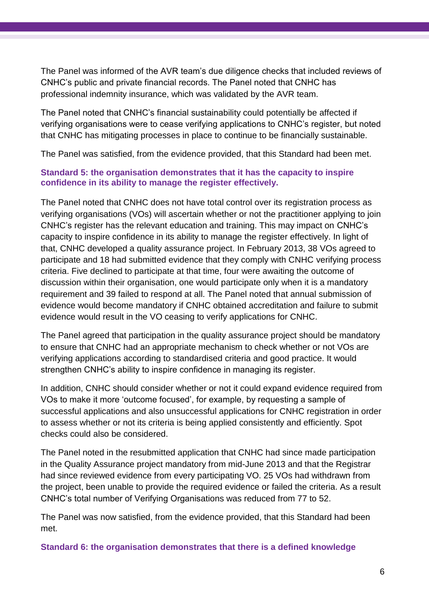The Panel was informed of the AVR team's due diligence checks that included reviews of CNHC's public and private financial records. The Panel noted that CNHC has professional indemnity insurance, which was validated by the AVR team.

The Panel noted that CNHC's financial sustainability could potentially be affected if verifying organisations were to cease verifying applications to CNHC's register, but noted that CNHC has mitigating processes in place to continue to be financially sustainable.

The Panel was satisfied, from the evidence provided, that this Standard had been met.

#### **Standard 5: the organisation demonstrates that it has the capacity to inspire confidence in its ability to manage the register effectively.**

The Panel noted that CNHC does not have total control over its registration process as verifying organisations (VOs) will ascertain whether or not the practitioner applying to join CNHC's register has the relevant education and training. This may impact on CNHC's capacity to inspire confidence in its ability to manage the register effectively. In light of that, CNHC developed a quality assurance project. In February 2013, 38 VOs agreed to participate and 18 had submitted evidence that they comply with CNHC verifying process criteria. Five declined to participate at that time, four were awaiting the outcome of discussion within their organisation, one would participate only when it is a mandatory requirement and 39 failed to respond at all. The Panel noted that annual submission of evidence would become mandatory if CNHC obtained accreditation and failure to submit evidence would result in the VO ceasing to verify applications for CNHC.

The Panel agreed that participation in the quality assurance project should be mandatory to ensure that CNHC had an appropriate mechanism to check whether or not VOs are verifying applications according to standardised criteria and good practice. It would strengthen CNHC's ability to inspire confidence in managing its register.

In addition, CNHC should consider whether or not it could expand evidence required from VOs to make it more 'outcome focused', for example, by requesting a sample of successful applications and also unsuccessful applications for CNHC registration in order to assess whether or not its criteria is being applied consistently and efficiently. Spot checks could also be considered.

The Panel noted in the resubmitted application that CNHC had since made participation in the Quality Assurance project mandatory from mid-June 2013 and that the Registrar had since reviewed evidence from every participating VO. 25 VOs had withdrawn from the project, been unable to provide the required evidence or failed the criteria. As a result CNHC's total number of Verifying Organisations was reduced from 77 to 52.

The Panel was now satisfied, from the evidence provided, that this Standard had been met.

**Standard 6: the organisation demonstrates that there is a defined knowledge**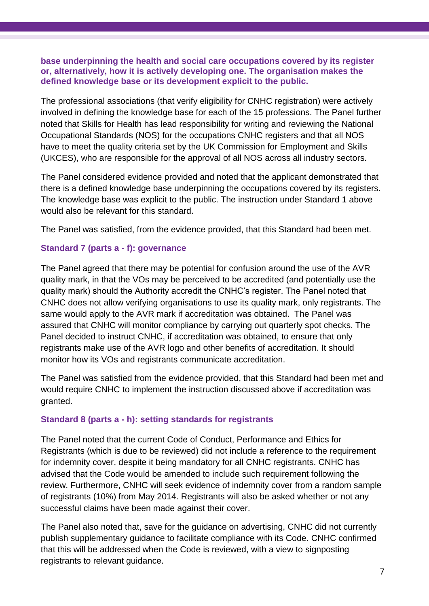#### **base underpinning the health and social care occupations covered by its register or, alternatively, how it is actively developing one. The organisation makes the defined knowledge base or its development explicit to the public.**

The professional associations (that verify eligibility for CNHC registration) were actively involved in defining the knowledge base for each of the 15 professions. The Panel further noted that Skills for Health has lead responsibility for writing and reviewing the National Occupational Standards (NOS) for the occupations CNHC registers and that all NOS have to meet the quality criteria set by the UK Commission for Employment and Skills (UKCES), who are responsible for the approval of all NOS across all industry sectors.

The Panel considered evidence provided and noted that the applicant demonstrated that there is a defined knowledge base underpinning the occupations covered by its registers. The knowledge base was explicit to the public. The instruction under Standard 1 above would also be relevant for this standard.

The Panel was satisfied, from the evidence provided, that this Standard had been met.

#### **Standard 7 (parts a - f): governance**

The Panel agreed that there may be potential for confusion around the use of the AVR quality mark, in that the VOs may be perceived to be accredited (and potentially use the quality mark) should the Authority accredit the CNHC's register. The Panel noted that CNHC does not allow verifying organisations to use its quality mark, only registrants. The same would apply to the AVR mark if accreditation was obtained. The Panel was assured that CNHC will monitor compliance by carrying out quarterly spot checks. The Panel decided to instruct CNHC, if accreditation was obtained, to ensure that only registrants make use of the AVR logo and other benefits of accreditation. It should monitor how its VOs and registrants communicate accreditation.

The Panel was satisfied from the evidence provided, that this Standard had been met and would require CNHC to implement the instruction discussed above if accreditation was granted.

#### **Standard 8 (parts a - h): setting standards for registrants**

The Panel noted that the current Code of Conduct, Performance and Ethics for Registrants (which is due to be reviewed) did not include a reference to the requirement for indemnity cover, despite it being mandatory for all CNHC registrants. CNHC has advised that the Code would be amended to include such requirement following the review. Furthermore, CNHC will seek evidence of indemnity cover from a random sample of registrants (10%) from May 2014. Registrants will also be asked whether or not any successful claims have been made against their cover.

The Panel also noted that, save for the guidance on advertising, CNHC did not currently publish supplementary guidance to facilitate compliance with its Code. CNHC confirmed that this will be addressed when the Code is reviewed, with a view to signposting registrants to relevant guidance.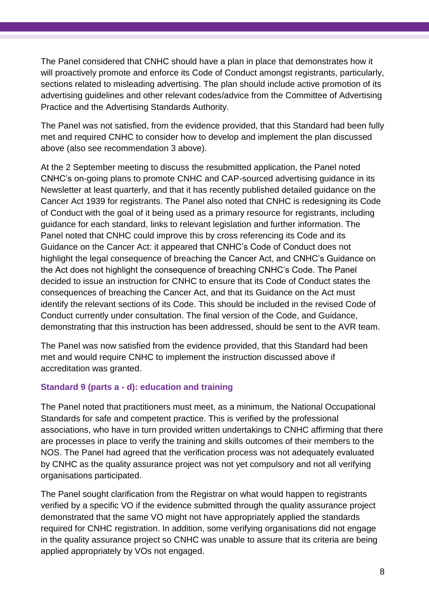The Panel considered that CNHC should have a plan in place that demonstrates how it will proactively promote and enforce its Code of Conduct amongst registrants, particularly, sections related to misleading advertising. The plan should include active promotion of its advertising guidelines and other relevant codes/advice from the Committee of Advertising Practice and the Advertising Standards Authority.

The Panel was not satisfied, from the evidence provided, that this Standard had been fully met and required CNHC to consider how to develop and implement the plan discussed above (also see recommendation 3 above).

At the 2 September meeting to discuss the resubmitted application, the Panel noted CNHC's on-going plans to promote CNHC and CAP-sourced advertising guidance in its Newsletter at least quarterly, and that it has recently published detailed guidance on the Cancer Act 1939 for registrants. The Panel also noted that CNHC is redesigning its Code of Conduct with the goal of it being used as a primary resource for registrants, including guidance for each standard, links to relevant legislation and further information. The Panel noted that CNHC could improve this by cross referencing its Code and its Guidance on the Cancer Act: it appeared that CNHC's Code of Conduct does not highlight the legal consequence of breaching the Cancer Act, and CNHC's Guidance on the Act does not highlight the consequence of breaching CNHC's Code. The Panel decided to issue an instruction for CNHC to ensure that its Code of Conduct states the consequences of breaching the Cancer Act, and that its Guidance on the Act must identify the relevant sections of its Code. This should be included in the revised Code of Conduct currently under consultation. The final version of the Code, and Guidance, demonstrating that this instruction has been addressed, should be sent to the AVR team.

The Panel was now satisfied from the evidence provided, that this Standard had been met and would require CNHC to implement the instruction discussed above if accreditation was granted.

#### **Standard 9 (parts a - d): education and training**

The Panel noted that practitioners must meet, as a minimum, the National Occupational Standards for safe and competent practice. This is verified by the professional associations, who have in turn provided written undertakings to CNHC affirming that there are processes in place to verify the training and skills outcomes of their members to the NOS. The Panel had agreed that the verification process was not adequately evaluated by CNHC as the quality assurance project was not yet compulsory and not all verifying organisations participated.

The Panel sought clarification from the Registrar on what would happen to registrants verified by a specific VO if the evidence submitted through the quality assurance project demonstrated that the same VO might not have appropriately applied the standards required for CNHC registration. In addition, some verifying organisations did not engage in the quality assurance project so CNHC was unable to assure that its criteria are being applied appropriately by VOs not engaged.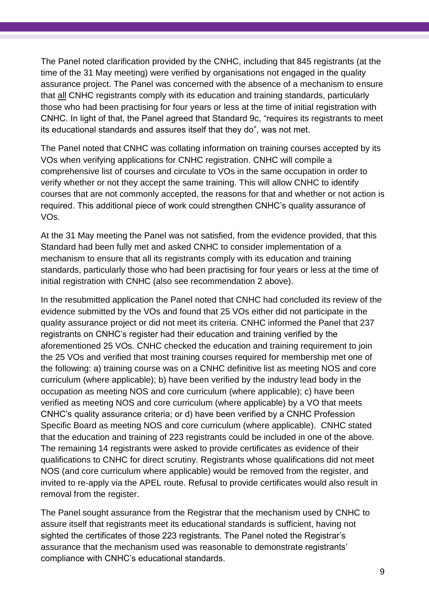The Panel noted clarification provided by the CNHC, including that 845 registrants (at the time of the 31 May meeting) were verified by organisations not engaged in the quality assurance project. The Panel was concerned with the absence of a mechanism to ensure that all CNHC registrants comply with its education and training standards, particularly those who had been practising for four years or less at the time of initial registration with CNHC. In light of that, the Panel agreed that Standard 9c, "requires its registrants to meet its educational standards and assures itself that they do", was not met.

The Panel noted that CNHC was collating information on training courses accepted by its VOs when verifying applications for CNHC registration. CNHC will compile a comprehensive list of courses and circulate to VOs in the same occupation in order to verify whether or not they accept the same training. This will allow CNHC to identify courses that are not commonly accepted, the reasons for that and whether or not action is required. This additional piece of work could strengthen CNHC's quality assurance of VOs.

At the 31 May meeting the Panel was not satisfied, from the evidence provided, that this Standard had been fully met and asked CNHC to consider implementation of a mechanism to ensure that all its registrants comply with its education and training standards, particularly those who had been practising for four years or less at the time of initial registration with CNHC (also see recommendation 2 above).

In the resubmitted application the Panel noted that CNHC had concluded its review of the evidence submitted by the VOs and found that 25 VOs either did not participate in the quality assurance project or did not meet its criteria. CNHC informed the Panel that 237 registrants on CNHC's register had their education and training verified by the aforementioned 25 VOs. CNHC checked the education and training requirement to join the 25 VOs and verified that most training courses required for membership met one of the following: a) training course was on a CNHC definitive list as meeting NOS and core curriculum (where applicable); b) have been verified by the industry lead body in the occupation as meeting NOS and core curriculum (where applicable); c) have been verified as meeting NOS and core curriculum (where applicable) by a VO that meets CNHC's quality assurance criteria; or d) have been verified by a CNHC Profession Specific Board as meeting NOS and core curriculum (where applicable). CNHC stated that the education and training of 223 registrants could be included in one of the above. The remaining 14 registrants were asked to provide certificates as evidence of their qualifications to CNHC for direct scrutiny. Registrants whose qualifications did not meet NOS (and core curriculum where applicable) would be removed from the register, and invited to re-apply via the APEL route. Refusal to provide certificates would also result in removal from the register.

The Panel sought assurance from the Registrar that the mechanism used by CNHC to assure itself that registrants meet its educational standards is sufficient, having not sighted the certificates of those 223 registrants. The Panel noted the Registrar's assurance that the mechanism used was reasonable to demonstrate registrants' compliance with CNHC's educational standards.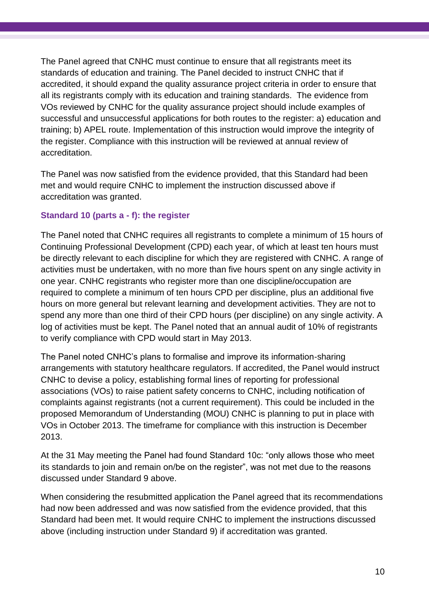The Panel agreed that CNHC must continue to ensure that all registrants meet its standards of education and training. The Panel decided to instruct CNHC that if accredited, it should expand the quality assurance project criteria in order to ensure that all its registrants comply with its education and training standards. The evidence from VOs reviewed by CNHC for the quality assurance project should include examples of successful and unsuccessful applications for both routes to the register: a) education and training; b) APEL route. Implementation of this instruction would improve the integrity of the register. Compliance with this instruction will be reviewed at annual review of accreditation.

The Panel was now satisfied from the evidence provided, that this Standard had been met and would require CNHC to implement the instruction discussed above if accreditation was granted.

#### **Standard 10 (parts a - f): the register**

The Panel noted that CNHC requires all registrants to complete a minimum of 15 hours of Continuing Professional Development (CPD) each year, of which at least ten hours must be directly relevant to each discipline for which they are registered with CNHC. A range of activities must be undertaken, with no more than five hours spent on any single activity in one year. CNHC registrants who register more than one discipline/occupation are required to complete a minimum of ten hours CPD per discipline, plus an additional five hours on more general but relevant learning and development activities. They are not to spend any more than one third of their CPD hours (per discipline) on any single activity. A log of activities must be kept. The Panel noted that an annual audit of 10% of registrants to verify compliance with CPD would start in May 2013.

The Panel noted CNHC's plans to formalise and improve its information-sharing arrangements with statutory healthcare regulators. If accredited, the Panel would instruct CNHC to devise a policy, establishing formal lines of reporting for professional associations (VOs) to raise patient safety concerns to CNHC, including notification of complaints against registrants (not a current requirement). This could be included in the proposed Memorandum of Understanding (MOU) CNHC is planning to put in place with VOs in October 2013. The timeframe for compliance with this instruction is December 2013.

At the 31 May meeting the Panel had found Standard 10c: "only allows those who meet its standards to join and remain on/be on the register", was not met due to the reasons discussed under Standard 9 above.

When considering the resubmitted application the Panel agreed that its recommendations had now been addressed and was now satisfied from the evidence provided, that this Standard had been met. It would require CNHC to implement the instructions discussed above (including instruction under Standard 9) if accreditation was granted.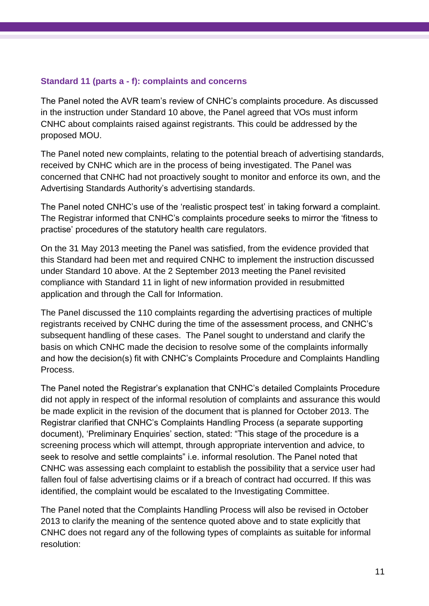#### **Standard 11 (parts a - f): complaints and concerns**

The Panel noted the AVR team's review of CNHC's complaints procedure. As discussed in the instruction under Standard 10 above, the Panel agreed that VOs must inform CNHC about complaints raised against registrants. This could be addressed by the proposed MOU.

The Panel noted new complaints, relating to the potential breach of advertising standards, received by CNHC which are in the process of being investigated. The Panel was concerned that CNHC had not proactively sought to monitor and enforce its own, and the Advertising Standards Authority's advertising standards.

The Panel noted CNHC's use of the 'realistic prospect test' in taking forward a complaint. The Registrar informed that CNHC's complaints procedure seeks to mirror the 'fitness to practise' procedures of the statutory health care regulators.

On the 31 May 2013 meeting the Panel was satisfied, from the evidence provided that this Standard had been met and required CNHC to implement the instruction discussed under Standard 10 above. At the 2 September 2013 meeting the Panel revisited compliance with Standard 11 in light of new information provided in resubmitted application and through the Call for Information.

The Panel discussed the 110 complaints regarding the advertising practices of multiple registrants received by CNHC during the time of the assessment process, and CNHC's subsequent handling of these cases. The Panel sought to understand and clarify the basis on which CNHC made the decision to resolve some of the complaints informally and how the decision(s) fit with CNHC's Complaints Procedure and Complaints Handling Process.

The Panel noted the Registrar's explanation that CNHC's detailed Complaints Procedure did not apply in respect of the informal resolution of complaints and assurance this would be made explicit in the revision of the document that is planned for October 2013. The Registrar clarified that CNHC's Complaints Handling Process (a separate supporting document), 'Preliminary Enquiries' section, stated: "This stage of the procedure is a screening process which will attempt, through appropriate intervention and advice, to seek to resolve and settle complaints" i.e. informal resolution. The Panel noted that CNHC was assessing each complaint to establish the possibility that a service user had fallen foul of false advertising claims or if a breach of contract had occurred. If this was identified, the complaint would be escalated to the Investigating Committee.

The Panel noted that the Complaints Handling Process will also be revised in October 2013 to clarify the meaning of the sentence quoted above and to state explicitly that CNHC does not regard any of the following types of complaints as suitable for informal resolution: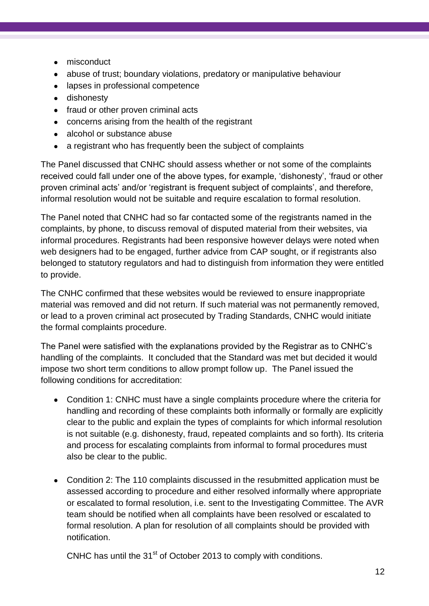- misconduct  $\bullet$
- abuse of trust; boundary violations, predatory or manipulative behaviour
- lapses in professional competence  $\bullet$
- dishonesty  $\bullet$
- $\bullet$ fraud or other proven criminal acts
- concerns arising from the health of the registrant
- $\bullet$ alcohol or substance abuse
- a registrant who has frequently been the subject of complaints  $\bullet$

The Panel discussed that CNHC should assess whether or not some of the complaints received could fall under one of the above types, for example, 'dishonesty', 'fraud or other proven criminal acts' and/or 'registrant is frequent subject of complaints', and therefore, informal resolution would not be suitable and require escalation to formal resolution.

The Panel noted that CNHC had so far contacted some of the registrants named in the complaints, by phone, to discuss removal of disputed material from their websites, via informal procedures. Registrants had been responsive however delays were noted when web designers had to be engaged, further advice from CAP sought, or if registrants also belonged to statutory regulators and had to distinguish from information they were entitled to provide.

The CNHC confirmed that these websites would be reviewed to ensure inappropriate material was removed and did not return. If such material was not permanently removed, or lead to a proven criminal act prosecuted by Trading Standards, CNHC would initiate the formal complaints procedure.

The Panel were satisfied with the explanations provided by the Registrar as to CNHC's handling of the complaints. It concluded that the Standard was met but decided it would impose two short term conditions to allow prompt follow up. The Panel issued the following conditions for accreditation:

- Condition 1: CNHC must have a single complaints procedure where the criteria for handling and recording of these complaints both informally or formally are explicitly clear to the public and explain the types of complaints for which informal resolution is not suitable (e.g. dishonesty, fraud, repeated complaints and so forth). Its criteria and process for escalating complaints from informal to formal procedures must also be clear to the public.
- Condition 2: The 110 complaints discussed in the resubmitted application must be assessed according to procedure and either resolved informally where appropriate or escalated to formal resolution, i.e. sent to the Investigating Committee. The AVR team should be notified when all complaints have been resolved or escalated to formal resolution. A plan for resolution of all complaints should be provided with notification.

CNHC has until the 31<sup>st</sup> of October 2013 to comply with conditions.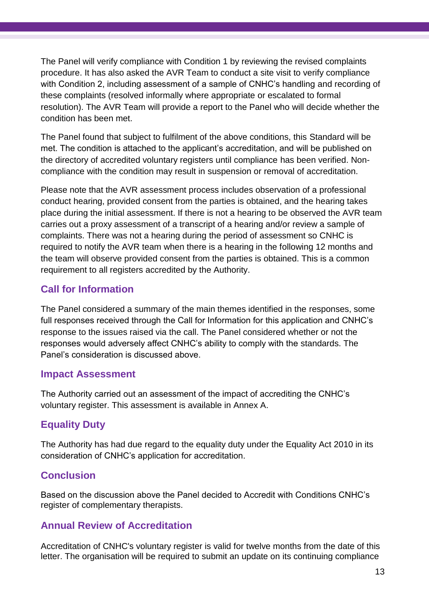The Panel will verify compliance with Condition 1 by reviewing the revised complaints procedure. It has also asked the AVR Team to conduct a site visit to verify compliance with Condition 2, including assessment of a sample of CNHC's handling and recording of these complaints (resolved informally where appropriate or escalated to formal resolution). The AVR Team will provide a report to the Panel who will decide whether the condition has been met.

The Panel found that subject to fulfilment of the above conditions, this Standard will be met. The condition is attached to the applicant's accreditation, and will be published on the directory of accredited voluntary registers until compliance has been verified. Noncompliance with the condition may result in suspension or removal of accreditation.

Please note that the AVR assessment process includes observation of a professional conduct hearing, provided consent from the parties is obtained, and the hearing takes place during the initial assessment. If there is not a hearing to be observed the AVR team carries out a proxy assessment of a transcript of a hearing and/or review a sample of complaints. There was not a hearing during the period of assessment so CNHC is required to notify the AVR team when there is a hearing in the following 12 months and the team will observe provided consent from the parties is obtained. This is a common requirement to all registers accredited by the Authority.

## **Call for Information**

The Panel considered a summary of the main themes identified in the responses, some full responses received through the Call for Information for this application and CNHC's response to the issues raised via the call. The Panel considered whether or not the responses would adversely affect CNHC's ability to comply with the standards. The Panel's consideration is discussed above.

## **Impact Assessment**

The Authority carried out an assessment of the impact of accrediting the CNHC's voluntary register. This assessment is available in Annex A.

## **Equality Duty**

The Authority has had due regard to the equality duty under the Equality Act 2010 in its consideration of CNHC's application for accreditation.

## **Conclusion**

Based on the discussion above the Panel decided to Accredit with Conditions CNHC's register of complementary therapists.

## **Annual Review of Accreditation**

Accreditation of CNHC's voluntary register is valid for twelve months from the date of this letter. The organisation will be required to submit an update on its continuing compliance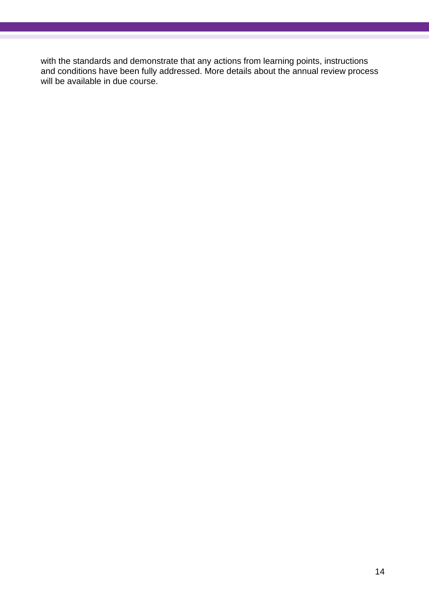with the standards and demonstrate that any actions from learning points, instructions and conditions have been fully addressed. More details about the annual review process will be available in due course.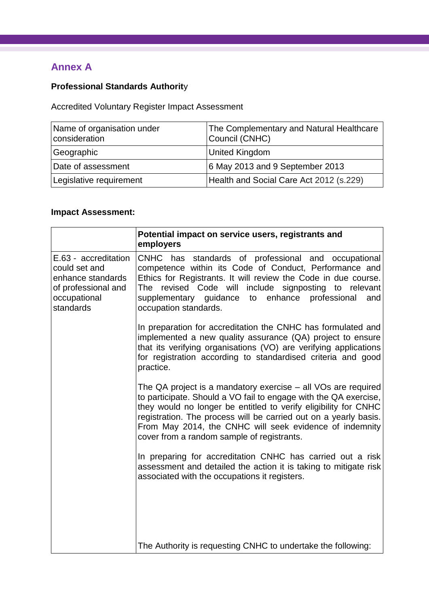## **Annex A**

## **Professional Standards Authorit**y

Accredited Voluntary Register Impact Assessment

| Name of organisation under<br>consideration | The Complementary and Natural Healthcare<br>Council (CNHC) |
|---------------------------------------------|------------------------------------------------------------|
| Geographic                                  | <b>United Kingdom</b>                                      |
| Date of assessment                          | 6 May 2013 and 9 September 2013                            |
| Legislative requirement                     | Health and Social Care Act 2012 (s.229)                    |

## **Impact Assessment:**

|                                                                                                                | Potential impact on service users, registrants and<br>employers                                                                                                                                                                                                                                                                                                                   |
|----------------------------------------------------------------------------------------------------------------|-----------------------------------------------------------------------------------------------------------------------------------------------------------------------------------------------------------------------------------------------------------------------------------------------------------------------------------------------------------------------------------|
| E.63 - accreditation<br>could set and<br>enhance standards<br>of professional and<br>occupational<br>standards | CNHC has standards of professional and occupational<br>competence within its Code of Conduct, Performance and<br>Ethics for Registrants. It will review the Code in due course.<br>revised Code will<br>include signposting to relevant<br>The<br>supplementary guidance<br>to enhance<br>professional<br>and<br>occupation standards.                                            |
|                                                                                                                | In preparation for accreditation the CNHC has formulated and<br>implemented a new quality assurance (QA) project to ensure<br>that its verifying organisations (VO) are verifying applications<br>for registration according to standardised criteria and good<br>practice.                                                                                                       |
|                                                                                                                | The QA project is a mandatory exercise – all VOs are required<br>to participate. Should a VO fail to engage with the QA exercise,<br>they would no longer be entitled to verify eligibility for CNHC<br>registration. The process will be carried out on a yearly basis.<br>From May 2014, the CNHC will seek evidence of indemnity<br>cover from a random sample of registrants. |
|                                                                                                                | In preparing for accreditation CNHC has carried out a risk<br>assessment and detailed the action it is taking to mitigate risk<br>associated with the occupations it registers.                                                                                                                                                                                                   |
|                                                                                                                | The Authority is requesting CNHC to undertake the following:                                                                                                                                                                                                                                                                                                                      |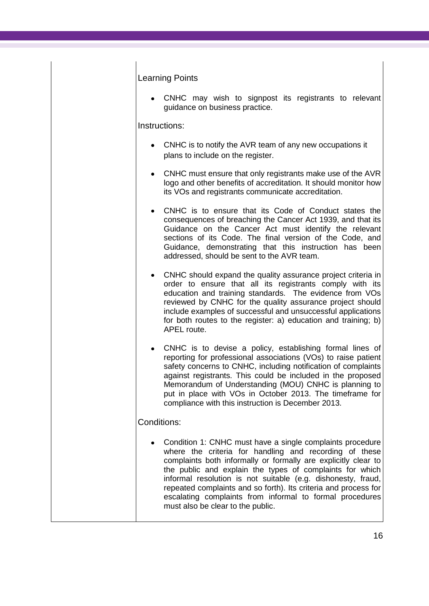#### Learning Points

CNHC may wish to signpost its registrants to relevant guidance on business practice.

#### Instructions:

- CNHC is to notify the AVR team of any new occupations it plans to include on the register.
- CNHC must ensure that only registrants make use of the AVR logo and other benefits of accreditation. It should monitor how its VOs and registrants communicate accreditation.
- CNHC is to ensure that its Code of Conduct states the consequences of breaching the Cancer Act 1939, and that its Guidance on the Cancer Act must identify the relevant sections of its Code. The final version of the Code, and Guidance, demonstrating that this instruction has been addressed, should be sent to the AVR team.
- CNHC should expand the quality assurance project criteria in order to ensure that all its registrants comply with its education and training standards. The evidence from VOs reviewed by CNHC for the quality assurance project should include examples of successful and unsuccessful applications for both routes to the register: a) education and training; b) APEL route.
- CNHC is to devise a policy, establishing formal lines of reporting for professional associations (VOs) to raise patient safety concerns to CNHC, including notification of complaints against registrants. This could be included in the proposed Memorandum of Understanding (MOU) CNHC is planning to put in place with VOs in October 2013. The timeframe for compliance with this instruction is December 2013.

#### Conditions:

Condition 1: CNHC must have a single complaints procedure where the criteria for handling and recording of these complaints both informally or formally are explicitly clear to the public and explain the types of complaints for which informal resolution is not suitable (e.g. dishonesty, fraud, repeated complaints and so forth). Its criteria and process for escalating complaints from informal to formal procedures must also be clear to the public.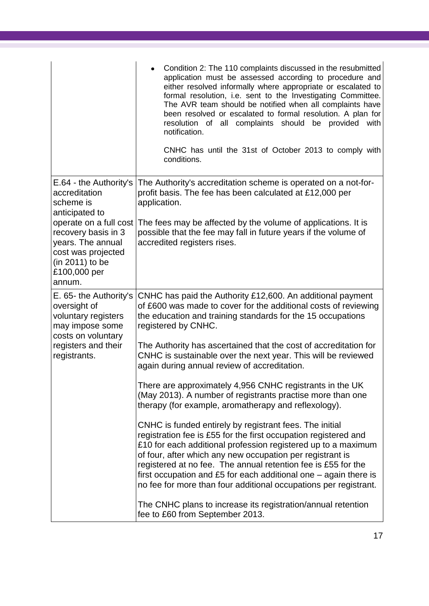|                                                                                                                                                                                       | Condition 2: The 110 complaints discussed in the resubmitted<br>application must be assessed according to procedure and<br>either resolved informally where appropriate or escalated to<br>formal resolution, i.e. sent to the Investigating Committee.<br>The AVR team should be notified when all complaints have<br>been resolved or escalated to formal resolution. A plan for<br>resolution of all complaints should be provided with<br>notification.<br>CNHC has until the 31st of October 2013 to comply with<br>conditions. |
|---------------------------------------------------------------------------------------------------------------------------------------------------------------------------------------|--------------------------------------------------------------------------------------------------------------------------------------------------------------------------------------------------------------------------------------------------------------------------------------------------------------------------------------------------------------------------------------------------------------------------------------------------------------------------------------------------------------------------------------|
| E.64 - the Authority's<br>accreditation<br>scheme is<br>anticipated to<br>operate on a full cost<br>recovery basis in 3<br>years. The annual<br>cost was projected<br>(in 2011) to be | The Authority's accreditation scheme is operated on a not-for-<br>profit basis. The fee has been calculated at £12,000 per<br>application.<br>The fees may be affected by the volume of applications. It is<br>possible that the fee may fall in future years if the volume of<br>accredited registers rises.                                                                                                                                                                                                                        |
| £100,000 per<br>annum.                                                                                                                                                                |                                                                                                                                                                                                                                                                                                                                                                                                                                                                                                                                      |
| E. 65- the Authority's<br>oversight of<br>voluntary registers<br>may impose some<br>costs on voluntary<br>registers and their<br>registrants.                                         | CNHC has paid the Authority £12,600. An additional payment<br>of £600 was made to cover for the additional costs of reviewing<br>the education and training standards for the 15 occupations<br>registered by CNHC.                                                                                                                                                                                                                                                                                                                  |
|                                                                                                                                                                                       | The Authority has ascertained that the cost of accreditation for<br>CNHC is sustainable over the next year. This will be reviewed<br>again during annual review of accreditation.                                                                                                                                                                                                                                                                                                                                                    |
|                                                                                                                                                                                       | There are approximately 4,956 CNHC registrants in the UK<br>(May 2013). A number of registrants practise more than one<br>therapy (for example, aromatherapy and reflexology).                                                                                                                                                                                                                                                                                                                                                       |
|                                                                                                                                                                                       | CNHC is funded entirely by registrant fees. The initial<br>registration fee is £55 for the first occupation registered and<br>£10 for each additional profession registered up to a maximum<br>of four, after which any new occupation per registrant is<br>registered at no fee. The annual retention fee is £55 for the<br>first occupation and £5 for each additional one $-$ again there is<br>no fee for more than four additional occupations per registrant.                                                                  |
|                                                                                                                                                                                       | The CNHC plans to increase its registration/annual retention<br>fee to £60 from September 2013.                                                                                                                                                                                                                                                                                                                                                                                                                                      |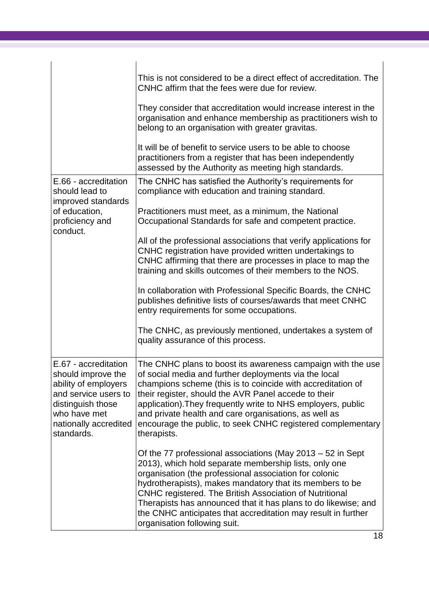|                                                                                                                                                                        | This is not considered to be a direct effect of accreditation. The<br>CNHC affirm that the fees were due for review.                                                                                                                                                                                                                                                                                                                                                    |
|------------------------------------------------------------------------------------------------------------------------------------------------------------------------|-------------------------------------------------------------------------------------------------------------------------------------------------------------------------------------------------------------------------------------------------------------------------------------------------------------------------------------------------------------------------------------------------------------------------------------------------------------------------|
|                                                                                                                                                                        | They consider that accreditation would increase interest in the<br>organisation and enhance membership as practitioners wish to<br>belong to an organisation with greater gravitas.                                                                                                                                                                                                                                                                                     |
|                                                                                                                                                                        | It will be of benefit to service users to be able to choose<br>practitioners from a register that has been independently<br>assessed by the Authority as meeting high standards.                                                                                                                                                                                                                                                                                        |
| E.66 - accreditation<br>should lead to<br>improved standards                                                                                                           | The CNHC has satisfied the Authority's requirements for<br>compliance with education and training standard.                                                                                                                                                                                                                                                                                                                                                             |
| of education,<br>proficiency and<br>conduct.                                                                                                                           | Practitioners must meet, as a minimum, the National<br>Occupational Standards for safe and competent practice.                                                                                                                                                                                                                                                                                                                                                          |
|                                                                                                                                                                        | All of the professional associations that verify applications for<br>CNHC registration have provided written undertakings to<br>CNHC affirming that there are processes in place to map the<br>training and skills outcomes of their members to the NOS.                                                                                                                                                                                                                |
|                                                                                                                                                                        | In collaboration with Professional Specific Boards, the CNHC<br>publishes definitive lists of courses/awards that meet CNHC<br>entry requirements for some occupations.                                                                                                                                                                                                                                                                                                 |
|                                                                                                                                                                        | The CNHC, as previously mentioned, undertakes a system of<br>quality assurance of this process.                                                                                                                                                                                                                                                                                                                                                                         |
| E.67 - accreditation<br>should improve the<br>ability of employers<br>and service users to<br>distinguish those<br>who have met<br>nationally accredited<br>standards. | The CNHC plans to boost its awareness campaign with the use<br>of social media and further deployments via the local<br>champions scheme (this is to coincide with accreditation of<br>their register, should the AVR Panel accede to their<br>application). They frequently write to NHS employers, public<br>and private health and care organisations, as well as<br>encourage the public, to seek CNHC registered complementary<br>therapists.                      |
|                                                                                                                                                                        | Of the 77 professional associations (May 2013 – 52 in Sept<br>2013), which hold separate membership lists, only one<br>organisation (the professional association for colonic<br>hydrotherapists), makes mandatory that its members to be<br>CNHC registered. The British Association of Nutritional<br>Therapists has announced that it has plans to do likewise; and<br>the CNHC anticipates that accreditation may result in further<br>organisation following suit. |